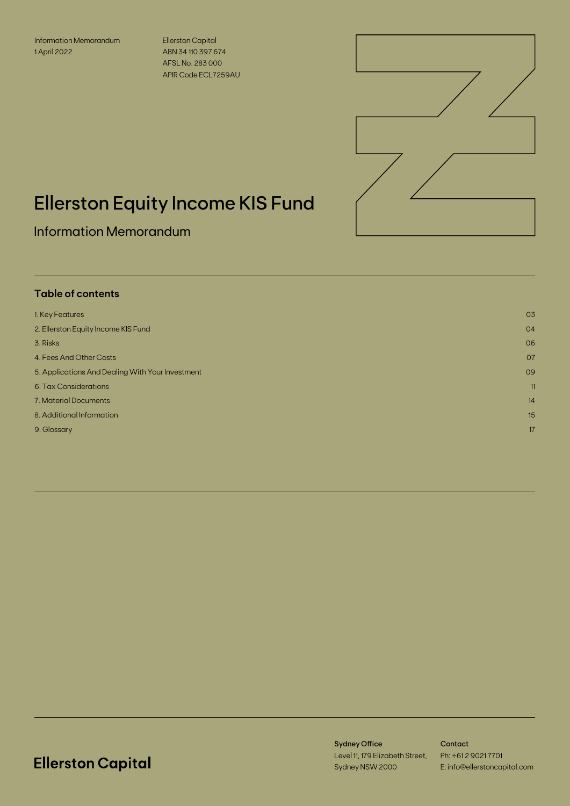Information Memorandum 1 April 2022

Ellerston Capital ABN 34 110 397 674 AFSL No. 283 000 APIR Code ECL7259AU



# Ellerston Equity Income KIS Fund

Information Memorandum

## **Table of contents**

| 1. Key Features                                  | 03 |
|--------------------------------------------------|----|
| 2. Ellerston Equity Income KIS Fund              | 04 |
| 3. Risks                                         | 06 |
| 4. Fees And Other Costs                          | 07 |
| 5. Applications And Dealing With Your Investment | 09 |
| 6. Tax Considerations                            | 11 |
| 7. Material Documents                            | 14 |
| 8. Additional Information                        | 15 |
| 9. Glossary                                      | 17 |
|                                                  |    |

## **Ellerston Capital**

Sydney Office Level 11, 179 Elizabeth Street, Sydney NSW 2000

**Contact** Ph: +61 2 9021 7701 E: info@ellerstoncapital.com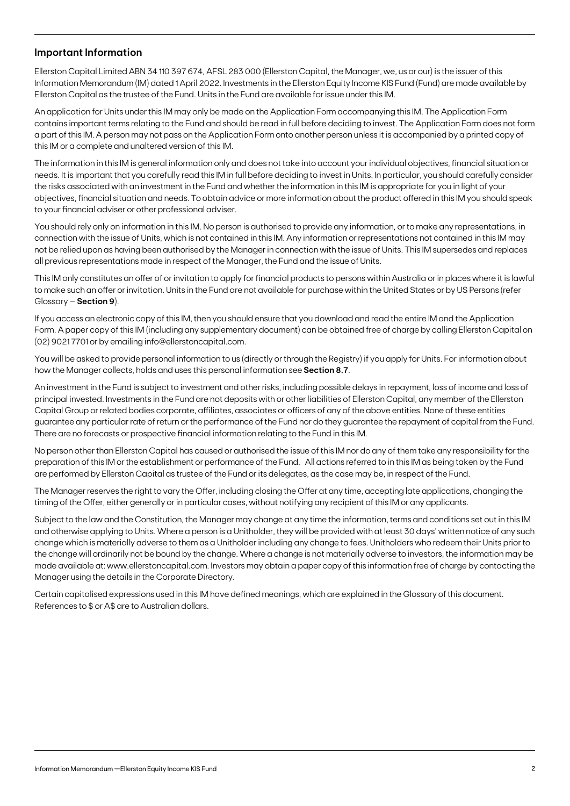### **Important Information**

Ellerston Capital Limited ABN 34 110 397 674, AFSL 283 000 (Ellerston Capital, the Manager, we, us or our) is the issuer of this Information Memorandum (IM) dated 1 April 2022. Investments in the Ellerston Equity Income KIS Fund (Fund) are made available by Ellerston Capital as the trustee of the Fund. Units in the Fund are available for issue under this IM.

An application for Units under this IM may only be made on the Application Form accompanying this IM. The Application Form contains important terms relating to the Fund and should be read in full before deciding to invest. The Application Form does not form a part of this IM. A person may not pass on the Application Form onto another person unless it is accompanied by a printed copy of this IM or a complete and unaltered version of this IM.

The information in this IM is general information only and does not take into account your individual objectives, financial situation or needs. It is important that you carefully read this IM in full before deciding to invest in Units. In particular, you should carefully consider the risks associated with an investment in the Fund and whether the information in this IM is appropriate for you in light of your objectives, financial situation and needs. To obtain advice or more information about the product offered in this IM you should speak to your financial adviser or other professional adviser.

You should rely only on information in this IM. No person is authorised to provide any information, or to make any representations, in connection with the issue of Units, which is not contained in this IM. Any information or representations not contained in this IM may not be relied upon as having been authorised by the Manager in connection with the issue of Units. This IM supersedes and replaces all previous representations made in respect of the Manager, the Fund and the issue of Units.

This IM only constitutes an offer of or invitation to apply for financial products to persons within Australia or in places where it is lawful to make such an offer or invitation. Units in the Fund are not available for purchase within the United States or by US Persons (refer Glossary – **Section 9**).

If you access an electronic copy of this IM, then you should ensure that you download and read the entire IM and the Application Form. A paper copy of this IM (including any supplementary document) can be obtained free of charge by calling Ellerston Capital on (02) 9021 7701 or by emailing info@ellerstoncapital.com.

You will be asked to provide personal information to us (directly or through the Registry) if you apply for Units. For information about how the Manager collects, holds and uses this personal information see **Section 8.7**.

An investment in the Fund is subject to investment and other risks, including possible delays in repayment, loss of income and loss of principal invested. Investments in the Fund are not deposits with or other liabilities of Ellerston Capital, any member of the Ellerston Capital Group or related bodies corporate, affiliates, associates or officers of any of the above entities. None of these entities guarantee any particular rate of return or the performance of the Fund nor do they guarantee the repayment of capital from the Fund. There are no forecasts or prospective financial information relating to the Fund in this IM.

No person other than Ellerston Capital has caused or authorised the issue of this IM nor do any of them take any responsibility for the preparation of this IM or the establishment or performance of the Fund. All actions referred to in this IM as being taken by the Fund are performed by Ellerston Capital as trustee of the Fund or its delegates, as the case may be, in respect of the Fund.

The Manager reserves the right to vary the Offer, including closing the Offer at any time, accepting late applications, changing the timing of the Offer, either generally or in particular cases, without notifying any recipient of this IM or any applicants.

Subject to the law and the Constitution, the Manager may change at any time the information, terms and conditions set out in this IM and otherwise applying to Units. Where a person is a Unitholder, they will be provided with at least 30 days' written notice of any such change which is materially adverse to them as a Unitholder including any change to fees. Unitholders who redeem their Units prior to the change will ordinarily not be bound by the change. Where a change is not materially adverse to investors, the information may be made available at: www.ellerstoncapital.com. Investors may obtain a paper copy of this information free of charge by contacting the Manager using the details in the Corporate Directory.

Certain capitalised expressions used in this IM have defined meanings, which are explained in the Glossary of this document. References to \$ or A\$ are to Australian dollars.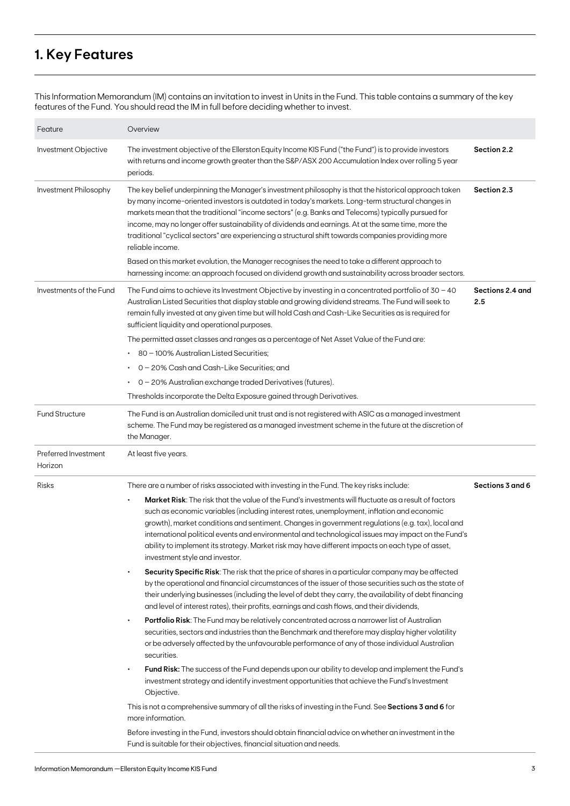## **1. Key Features**

This Information Memorandum (IM) contains an invitation to invest in Units in the Fund. This table contains a summary of the key features of the Fund. You should read the IM in full before deciding whether to invest.

| Feature                         | Overview                                                                                                                                                                                                                                                                                                                                                                                                                                                                                                                                                   |                         |
|---------------------------------|------------------------------------------------------------------------------------------------------------------------------------------------------------------------------------------------------------------------------------------------------------------------------------------------------------------------------------------------------------------------------------------------------------------------------------------------------------------------------------------------------------------------------------------------------------|-------------------------|
| Investment Objective            | The investment objective of the Ellerston Equity Income KIS Fund ("the Fund") is to provide investors<br>with returns and income growth greater than the S&P/ASX 200 Accumulation Index over rolling 5 year<br>periods.                                                                                                                                                                                                                                                                                                                                    | Section 2.2             |
| Investment Philosophy           | The key belief underpinning the Manager's investment philosophy is that the historical approach taken<br>by many income-oriented investors is outdated in today's markets. Long-term structural changes in<br>markets mean that the traditional "income sectors" (e.g. Banks and Telecoms) typically pursued for<br>income, may no longer offer sustainability of dividends and earnings. At at the same time, more the<br>traditional "cyclical sectors" are experiencing a structural shift towards companies providing more<br>reliable income.         | Section 2.3             |
|                                 | Based on this market evolution, the Manager recognises the need to take a different approach to<br>harnessing income: an approach focused on dividend growth and sustainability across broader sectors.                                                                                                                                                                                                                                                                                                                                                    |                         |
| Investments of the Fund         | The Fund aims to achieve its Investment Objective by investing in a concentrated portfolio of $30 - 40$<br>Australian Listed Securities that display stable and growing dividend streams. The Fund will seek to<br>remain fully invested at any given time but will hold Cash and Cash-Like Securities as is required for<br>sufficient liquidity and operational purposes.                                                                                                                                                                                | Sections 2.4 and<br>2.5 |
|                                 | The permitted asset classes and ranges as a percentage of Net Asset Value of the Fund are:                                                                                                                                                                                                                                                                                                                                                                                                                                                                 |                         |
|                                 | 80 - 100% Australian Listed Securities:                                                                                                                                                                                                                                                                                                                                                                                                                                                                                                                    |                         |
|                                 | 0 - 20% Cash and Cash-Like Securities; and                                                                                                                                                                                                                                                                                                                                                                                                                                                                                                                 |                         |
|                                 | 0 - 20% Australian exchange traded Derivatives (futures).                                                                                                                                                                                                                                                                                                                                                                                                                                                                                                  |                         |
|                                 | Thresholds incorporate the Delta Exposure gained through Derivatives.                                                                                                                                                                                                                                                                                                                                                                                                                                                                                      |                         |
| <b>Fund Structure</b>           | The Fund is an Australian domiciled unit trust and is not registered with ASIC as a managed investment<br>scheme. The Fund may be registered as a managed investment scheme in the future at the discretion of<br>the Manager.                                                                                                                                                                                                                                                                                                                             |                         |
|                                 |                                                                                                                                                                                                                                                                                                                                                                                                                                                                                                                                                            |                         |
| Preferred Investment<br>Horizon | At least five years.                                                                                                                                                                                                                                                                                                                                                                                                                                                                                                                                       |                         |
| <b>Risks</b>                    | There are a number of risks associated with investing in the Fund. The key risks include:                                                                                                                                                                                                                                                                                                                                                                                                                                                                  | Sections 3 and 6        |
|                                 | <b>Market Risk:</b> The risk that the value of the Fund's investments will fluctuate as a result of factors<br>such as economic variables (including interest rates, unemployment, inflation and economic<br>growth), market conditions and sentiment. Changes in government regulations (e.g. tax), local and<br>international political events and environmental and technological issues may impact on the Fund's<br>ability to implement its strategy. Market risk may have different impacts on each type of asset,<br>investment style and investor. |                         |
|                                 | Security Specific Risk: The risk that the price of shares in a particular company may be affected<br>by the operational and financial circumstances of the issuer of those securities such as the state of<br>their underlying businesses (including the level of debt they carry, the availability of debt financing<br>and level of interest rates), their profits, earnings and cash flows, and their dividends,                                                                                                                                        |                         |
|                                 | Portfolio Risk: The Fund may be relatively concentrated across a narrower list of Australian<br>$\bullet$<br>securities, sectors and industries than the Benchmark and therefore may display higher volatility<br>or be adversely affected by the unfavourable performance of any of those individual Australian<br>securities.                                                                                                                                                                                                                            |                         |
|                                 | <b>Fund Risk:</b> The success of the Fund depends upon our ability to develop and implement the Fund's<br>$\bullet$<br>investment strategy and identify investment opportunities that achieve the Fund's Investment<br>Objective.                                                                                                                                                                                                                                                                                                                          |                         |
|                                 | This is not a comprehensive summary of all the risks of investing in the Fund. See Sections 3 and 6 for<br>more information.                                                                                                                                                                                                                                                                                                                                                                                                                               |                         |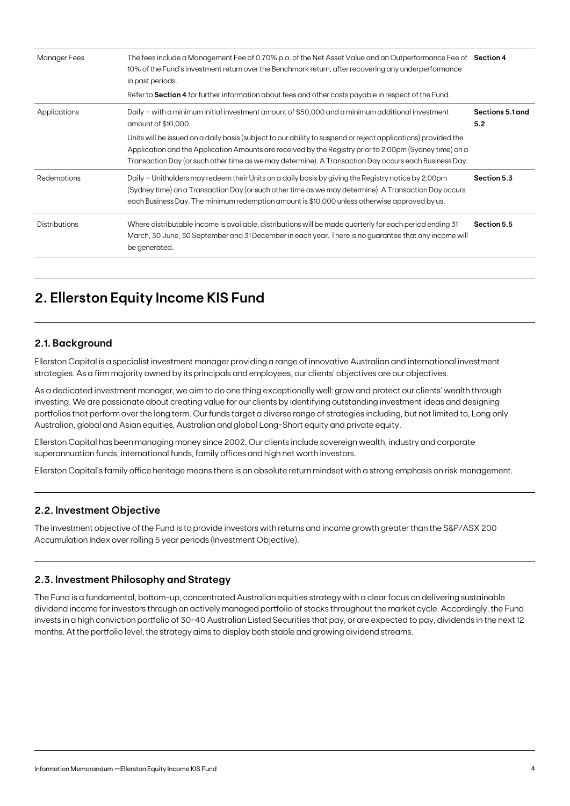| <b>Manager Fees</b>  | The fees include a Management Fee of 0.70% p.a. of the Net Asset Value and an Outperformance Fee of <b>Section 4</b><br>10% of the Fund's investment return over the Benchmark return, after recovering any underperformance<br>in past periods.<br>Refer to Section 4 for further information about fees and other costs payable in respect of the Fund. |                         |
|----------------------|-----------------------------------------------------------------------------------------------------------------------------------------------------------------------------------------------------------------------------------------------------------------------------------------------------------------------------------------------------------|-------------------------|
|                      |                                                                                                                                                                                                                                                                                                                                                           |                         |
| Applications         | Daily – with a minimum initial investment amount of \$50,000 and a minimum additional investment<br>amount of \$10,000.                                                                                                                                                                                                                                   | Sections 5.1 and<br>5.2 |
|                      | Units will be issued on a daily basis (subject to our ability to suspend or reject applications) provided the<br>Application and the Application Amounts are received by the Registry prior to 2:00pm (Sydney time) on a<br>Transaction Day (or such other time as we may determine). A Transaction Day occurs each Business Day.                         |                         |
| Redemptions          | Daily - Unitholders may redeem their Units on a daily basis by giving the Registry notice by 2:00pm<br>(Sydney time) on a Transaction Day (or such other time as we may determine). A Transaction Day occurs<br>each Business Day. The minimum redemption amount is \$10,000 unless otherwise approved by us.                                             | Section 5.3             |
| <b>Distributions</b> | Where distributable income is available, distributions will be made quarterly for each period ending 31<br>March, 30 June, 30 September and 31 December in each year. There is no guarantee that any income will<br>be generated.                                                                                                                         | Section 5.5             |

## **2. Ellerston Equity Income KIS Fund**

## **2.1. Background**

Ellerston Capital is a specialist investment manager providing a range of innovative Australian and international investment strategies. As a firm majority owned by its principals and employees, our clients' objectives are our objectives.

As a dedicated investment manager, we aim to do one thing exceptionally well: grow and protect our clients' wealth through investing. We are passionate about creating value for our clients by identifying outstanding investment ideas and designing portfolios that perform over the long term. Our funds target a diverse range of strategies including, but not limited to, Long only Australian, global and Asian equities, Australian and global Long-Short equity and private equity.

Ellerston Capital has been managing money since 2002. Our clients include sovereign wealth, industry and corporate superannuation funds, international funds, family offices and high net worth investors.

Ellerston Capital's family office heritage means there is an absolute return mindset with a strong emphasis on risk management.

### **2.2. Investment Objective**

The investment objective of the Fund is to provide investors with returns and income growth greater than the S&P/ASX 200 Accumulation Index over rolling 5 year periods (Investment Objective).

#### **2.3. Investment Philosophy and Strategy**

The Fund is a fundamental, bottom-up, concentrated Australian equities strategy with a clear focus on delivering sustainable dividend income for investors through an actively managed portfolio of stocks throughout the market cycle. Accordingly, the Fund invests in a high conviction portfolio of 30-40 Australian Listed Securities that pay, or are expected to pay, dividends in the next 12 months. At the portfolio level, the strategy aims to display both stable and growing dividend streams.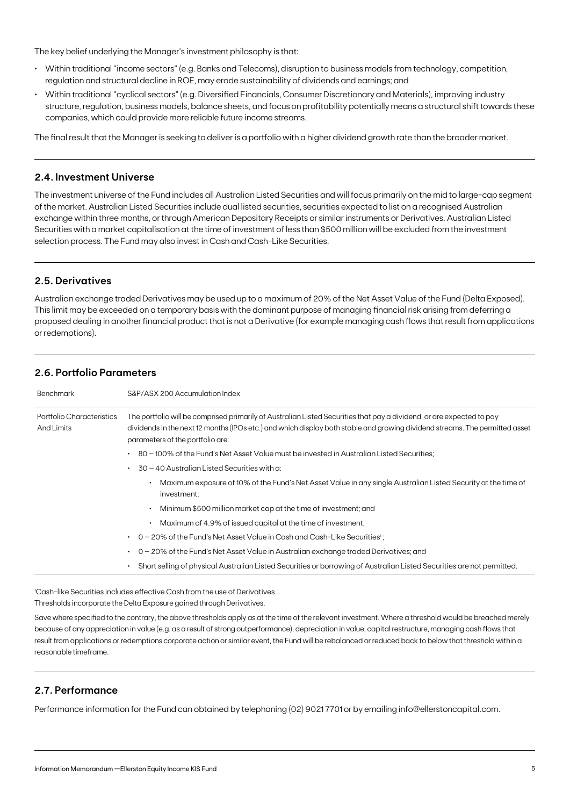The key belief underlying the Manager's investment philosophy is that:

- Within traditional "income sectors" (e.g. Banks and Telecoms), disruption to business models from technology, competition, regulation and structural decline in ROE, may erode sustainability of dividends and earnings; and
- Within traditional "cyclical sectors" (e.g. Diversified Financials, Consumer Discretionary and Materials), improving industry structure, regulation, business models, balance sheets, and focus on profitability potentially means a structural shift towards these companies, which could provide more reliable future income streams.

The final result that the Manager is seeking to deliver is a portfolio with a higher dividend growth rate than the broader market.

## **2.4. Investment Universe**

The investment universe of the Fund includes all Australian Listed Securities and will focus primarily on the mid to large-cap segment of the market. Australian Listed Securities include dual listed securities, securities expected to list on a recognised Australian exchange within three months, or through American Depositary Receipts or similar instruments or Derivatives. Australian Listed Securities with a market capitalisation at the time of investment of less than \$500 million will be excluded from the investment selection process. The Fund may also invest in Cash and Cash-Like Securities.

## **2.5. Derivatives**

Australian exchange traded Derivatives may be used up to a maximum of 20% of the Net Asset Value of the Fund (Delta Exposed). This limit may be exceeded on a temporary basis with the dominant purpose of managing financial risk arising from deferring a proposed dealing in another financial product that is not a Derivative (for example managing cash flows that result from applications or redemptions).

## **2.6. Portfolio Parameters**

| <b>Benchmark</b>                               | S&P/ASX 200 Accumulation Index                                                                                                                                                                                                                                                           |
|------------------------------------------------|------------------------------------------------------------------------------------------------------------------------------------------------------------------------------------------------------------------------------------------------------------------------------------------|
| Portfolio Characteristics<br><b>And Limits</b> | The portfolio will be comprised primarily of Australian Listed Securities that pay a dividend, or are expected to pay<br>dividends in the next 12 months (IPOs etc.) and which display both stable and growing dividend streams. The permitted asset<br>parameters of the portfolio are: |
|                                                | 80 – 100% of the Fund's Net Asset Value must be invested in Australian Listed Securities:                                                                                                                                                                                                |
|                                                | $30 - 40$ Australian Listed Securities with a:                                                                                                                                                                                                                                           |
|                                                | Maximum exposure of 10% of the Fund's Net Asset Value in any single Australian Listed Security at the time of<br>investment;                                                                                                                                                             |
|                                                | Minimum \$500 million market cap at the time of investment; and<br>$\bullet$                                                                                                                                                                                                             |
|                                                | Maximum of 4.9% of issued capital at the time of investment.                                                                                                                                                                                                                             |
|                                                | $0 - 20\%$ of the Fund's Net Asset Value in Cash and Cash-Like Securities <sup>1</sup> :                                                                                                                                                                                                 |
|                                                | 0 - 20% of the Fund's Net Asset Value in Australian exchange traded Derivatives; and                                                                                                                                                                                                     |
|                                                | Short selling of physical Australian Listed Securities or borrowing of Australian Listed Securities are not permitted.                                                                                                                                                                   |

1 Cash-like Securities includes effective Cash from the use of Derivatives. Thresholds incorporate the Delta Exposure gained through Derivatives.

Save where specified to the contrary, the above thresholds apply as at the time of the relevant investment. Where a threshold would be breached merely because of any appreciation in value (e.g. as a result of strong outperformance), depreciation in value, capital restructure, managing cash flows that result from applications or redemptions corporate action or similar event, the Fund will be rebalanced or reduced back to below that threshold within a reasonable timeframe.

## **2.7. Performance**

Performance information for the Fund can obtained by telephoning (02) 9021 7701 or by emailing info@ellerstoncapital.com.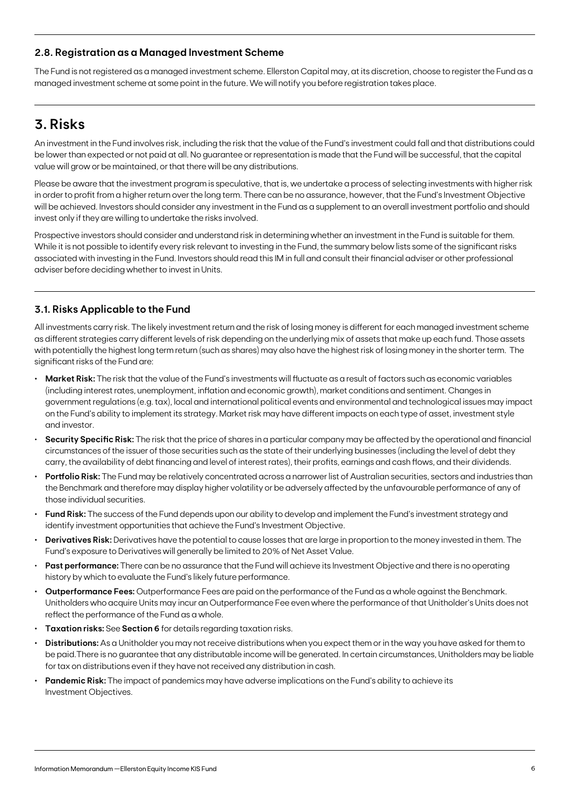## **2.8. Registration as a Managed Investment Scheme**

The Fund is not registered as a managed investment scheme. Ellerston Capital may, at its discretion, choose to register the Fund as a managed investment scheme at some point in the future. We will notify you before registration takes place.

## **3. Risks**

An investment in the Fund involves risk, including the risk that the value of the Fund's investment could fall and that distributions could be lower than expected or not paid at all. No guarantee or representation is made that the Fund will be successful, that the capital value will grow or be maintained, or that there will be any distributions.

Please be aware that the investment program is speculative, that is, we undertake a process of selecting investments with higher risk in order to profit from a higher return over the long term. There can be no assurance, however, that the Fund's Investment Objective will be achieved. Investors should consider any investment in the Fund as a supplement to an overall investment portfolio and should invest only if they are willing to undertake the risks involved.

Prospective investors should consider and understand risk in determining whether an investment in the Fund is suitable for them. While it is not possible to identify every risk relevant to investing in the Fund, the summary below lists some of the significant risks associated with investing in the Fund. Investors should read this IM in full and consult their financial adviser or other professional adviser before deciding whether to invest in Units.

## **3.1. Risks Applicable to the Fund**

All investments carry risk. The likely investment return and the risk of losing money is different for each managed investment scheme as different strategies carry different levels of risk depending on the underlying mix of assets that make up each fund. Those assets with potentially the highest long term return (such as shares) may also have the highest risk of losing money in the shorter term. The significant risks of the Fund are:

- **• Market Risk:** The risk that the value of the Fund's investments will fluctuate as a result of factors such as economic variables (including interest rates, unemployment, inflation and economic growth), market conditions and sentiment. Changes in government regulations (e.g. tax), local and international political events and environmental and technological issues may impact on the Fund's ability to implement its strategy. Market risk may have different impacts on each type of asset, investment style and investor.
- **Security Specific Risk:** The risk that the price of shares in a particular company may be affected by the operational and financial circumstances of the issuer of those securities such as the state of their underlying businesses (including the level of debt they carry, the availability of debt financing and level of interest rates), their profits, earnings and cash flows, and their dividends.
- **• Portfolio Risk:** The Fund may be relatively concentrated across a narrower list of Australian securities, sectors and industries than the Benchmark and therefore may display higher volatility or be adversely affected by the unfavourable performance of any of those individual securities.
- **• Fund Risk:** The success of the Fund depends upon our ability to develop and implement the Fund's investment strategy and identify investment opportunities that achieve the Fund's Investment Objective.
- **• Derivatives Risk:** Derivatives have the potential to cause losses that are large in proportion to the money invested in them. The Fund's exposure to Derivatives will generally be limited to 20% of Net Asset Value.
- **Past performance:** There can be no assurance that the Fund will achieve its Investment Objective and there is no operating history by which to evaluate the Fund's likely future performance.
- **• Outperformance Fees:** Outperformance Fees are paid on the performance of the Fund as a whole against the Benchmark. Unitholders who acquire Units may incur an Outperformance Fee even where the performance of that Unitholder's Units does not reflect the performance of the Fund as a whole.
- **• Taxation risks:** See **Section 6** for details regarding taxation risks.
- **• Distributions:** As a Unitholder you may not receive distributions when you expect them or in the way you have asked for them to be paid.There is no guarantee that any distributable income will be generated. In certain circumstances, Unitholders may be liable for tax on distributions even if they have not received any distribution in cash.
- **• Pandemic Risk:** The impact of pandemics may have adverse implications on the Fund's ability to achieve its Investment Objectives.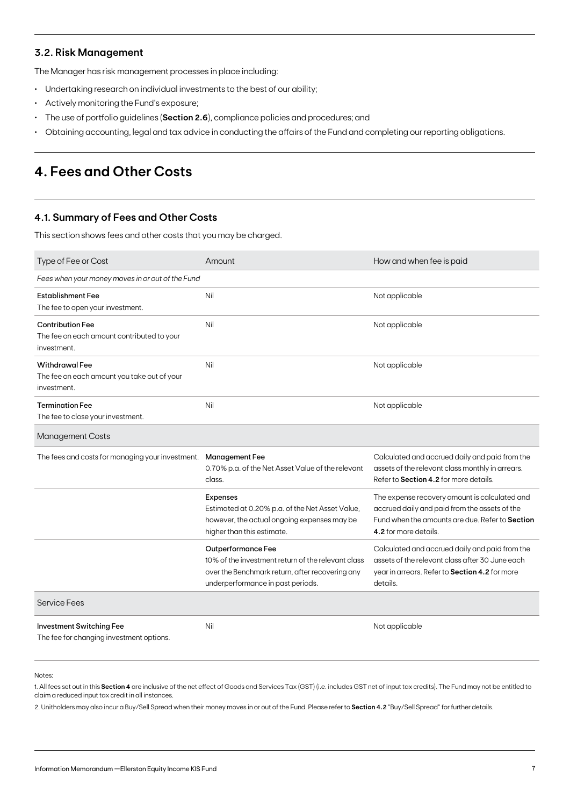### **3.2. Risk Management**

The Manager has risk management processes in place including:

- Undertaking research on individual investments to the best of our ability;
- Actively monitoring the Fund's exposure;
- The use of portfolio guidelines (**Section 2.6**), compliance policies and procedures; and
- Obtaining accounting, legal and tax advice in conducting the affairs of the Fund and completing our reporting obligations.

## **4. Fees and Other Costs**

## **4.1. Summary of Fees and Other Costs**

This section shows fees and other costs that you may be charged.

| Type of Fee or Cost                                                                  | Amount                                                                                                                                                                  | How and when fee is paid                                                                                                                                                   |
|--------------------------------------------------------------------------------------|-------------------------------------------------------------------------------------------------------------------------------------------------------------------------|----------------------------------------------------------------------------------------------------------------------------------------------------------------------------|
| Fees when your money moves in or out of the Fund                                     |                                                                                                                                                                         |                                                                                                                                                                            |
| <b>Establishment Fee</b><br>The fee to open your investment.                         | Nil                                                                                                                                                                     | Not applicable                                                                                                                                                             |
| <b>Contribution Fee</b><br>The fee on each amount contributed to your<br>investment. | Nil                                                                                                                                                                     | Not applicable                                                                                                                                                             |
| <b>Withdrawal Fee</b><br>The fee on each amount you take out of your<br>investment.  | Nil                                                                                                                                                                     | Not applicable                                                                                                                                                             |
| <b>Termination Fee</b><br>The fee to close your investment.                          | Nil                                                                                                                                                                     | Not applicable                                                                                                                                                             |
| <b>Management Costs</b>                                                              |                                                                                                                                                                         |                                                                                                                                                                            |
| The fees and costs for managing your investment.                                     | <b>Management Fee</b><br>0.70% p.a. of the Net Asset Value of the relevant<br>class.                                                                                    | Calculated and accrued daily and paid from the<br>assets of the relevant class monthly in arrears.<br>Refer to Section 4.2 for more details.                               |
|                                                                                      | <b>Expenses</b><br>Estimated at 0.20% p.a. of the Net Asset Value,<br>however, the actual ongoing expenses may be<br>higher than this estimate.                         | The expense recovery amount is calculated and<br>accrued daily and paid from the assets of the<br>Fund when the amounts are due. Refer to Section<br>4.2 for more details. |
|                                                                                      | <b>Outperformance Fee</b><br>10% of the investment return of the relevant class<br>over the Benchmark return, after recovering any<br>underperformance in past periods. | Calculated and accrued daily and paid from the<br>assets of the relevant class after 30 June each<br>year in arrears. Refer to Section 4.2 for more<br>details.            |
| <b>Service Fees</b>                                                                  |                                                                                                                                                                         |                                                                                                                                                                            |
| <b>Investment Switching Fee</b><br>The fee for changing investment options.          | Nil                                                                                                                                                                     | Not applicable                                                                                                                                                             |

Notes:

1. All fees set out in this **Section 4** are inclusive of the net effect of Goods and Services Tax (GST) (i.e. includes GST net of input tax credits). The Fund may not be entitled to claim a reduced input tax credit in all instances.

2. Unitholders may also incur a Buy/Sell Spread when their money moves in or out of the Fund. Please refer to **Section 4.2** "Buy/Sell Spread" for further details.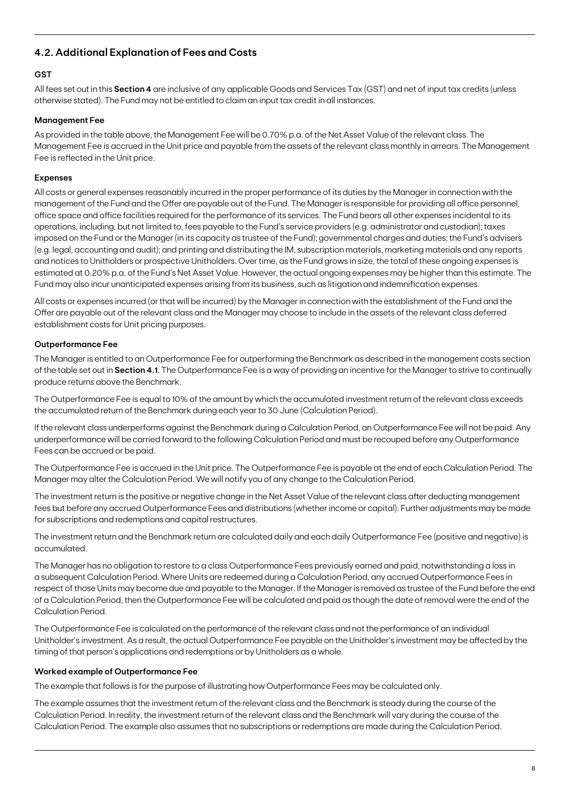## **4.2. Additional Explanation of Fees and Costs**

## **GST**

All fees set out in this **Section 4** are inclusive of any applicable Goods and Services Tax (GST) and net of input tax credits (unless otherwise stated). The Fund may not be entitled to claim an input tax credit in all instances.

#### **Management Fee**

As provided in the table above, the Management Fee will be 0.70% p.a. of the Net Asset Value of the relevant class. The Management Fee is accrued in the Unit price and payable from the assets of the relevant class monthly in arrears. The Management Fee is reflected in the Unit price.

#### **Expenses**

All costs or general expenses reasonably incurred in the proper performance of its duties by the Manager in connection with the management of the Fund and the Offer are payable out of the Fund. The Manager is responsible for providing all office personnel, office space and office facilities required for the performance of its services. The Fund bears all other expenses incidental to its operations, including, but not limited to, fees payable to the Fund's service providers (e.g. administrator and custodian); taxes imposed on the Fund or the Manager (in its capacity as trustee of the Fund); governmental charges and duties; the Fund's advisers (e.g. legal, accounting and audit); and printing and distributing the IM, subscription materials, marketing materials and any reports and notices to Unitholders or prospective Unitholders. Over time, as the Fund grows in size, the total of these ongoing expenses is estimated at 0.20% p.a. of the Fund's Net Asset Value. However, the actual ongoing expenses may be higher than this estimate. The Fund may also incur unanticipated expenses arising from its business, such as litigation and indemnification expenses.

All costs or expenses incurred (or that will be incurred) by the Manager in connection with the establishment of the Fund and the Offer are payable out of the relevant class and the Manager may choose to include in the assets of the relevant class deferred establishment costs for Unit pricing purposes.

### **Outperformance Fee**

The Manager is entitled to an Outperformance Fee for outperforming the Benchmark as described in the management costs section of the table set out in **Section 4.1**. The Outperformance Fee is a way of providing an incentive for the Manager to strive to continually produce returns above the Benchmark.

The Outperformance Fee is equal to 10% of the amount by which the accumulated investment return of the relevant class exceeds the accumulated return of the Benchmark during each year to 30 June (Calculation Period).

If the relevant class underperforms against the Benchmark during a Calculation Period, an Outperformance Fee will not be paid. Any underperformance will be carried forward to the following Calculation Period and must be recouped before any Outperformance Fees can be accrued or be paid.

The Outperformance Fee is accrued in the Unit price. The Outperformance Fee is payable at the end of each Calculation Period. The Manager may alter the Calculation Period. We will notify you of any change to the Calculation Period.

The investment return is the positive or negative change in the Net Asset Value of the relevant class after deducting management fees but before any accrued Outperformance Fees and distributions (whether income or capital). Further adjustments may be made for subscriptions and redemptions and capital restructures.

The investment return and the Benchmark return are calculated daily and each daily Outperformance Fee (positive and negative) is accumulated.

The Manager has no obligation to restore to a class Outperformance Fees previously earned and paid, notwithstanding a loss in a subsequent Calculation Period. Where Units are redeemed during a Calculation Period, any accrued Outperformance Fees in respect of those Units may become due and payable to the Manager. If the Manager is removed as trustee of the Fund before the end of a Calculation Period, then the Outperformance Fee will be calculated and paid as though the date of removal were the end of the Calculation Period.

The Outperformance Fee is calculated on the performance of the relevant class and not the performance of an individual Unitholder's investment. As a result, the actual Outperformance Fee payable on the Unitholder's investment may be affected by the timing of that person's applications and redemptions or by Unitholders as a whole.

#### **Worked example of Outperformance Fee**

The example that follows is for the purpose of illustrating how Outperformance Fees may be calculated only.

The example assumes that the investment return of the relevant class and the Benchmark is steady during the course of the Calculation Period. In reality, the investment return of the relevant class and the Benchmark will vary during the course of the Calculation Period. The example also assumes that no subscriptions or redemptions are made during the Calculation Period.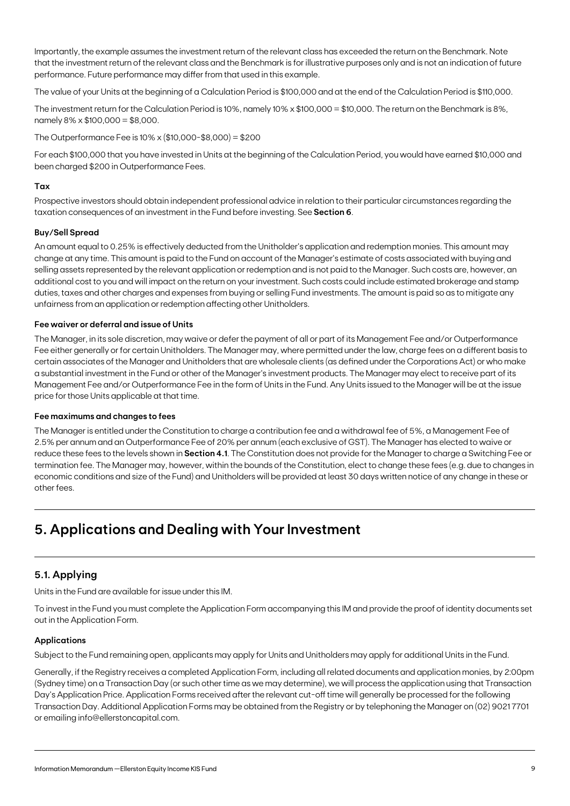Importantly, the example assumes the investment return of the relevant class has exceeded the return on the Benchmark. Note that the investment return of the relevant class and the Benchmark is for illustrative purposes only and is not an indication of future performance. Future performance may differ from that used in this example.

The value of your Units at the beginning of a Calculation Period is \$100,000 and at the end of the Calculation Period is \$110,000.

The investment return for the Calculation Period is 10%, namely 10% x \$100,000 = \$10,000. The return on the Benchmark is 8%, namely 8% x \$100,000 = \$8,000.

The Outperformance Fee is 10% x (\$10,000-\$8,000) = \$200

For each \$100,000 that you have invested in Units at the beginning of the Calculation Period, you would have earned \$10,000 and been charged \$200 in Outperformance Fees.

#### **Tax**

Prospective investors should obtain independent professional advice in relation to their particular circumstances regarding the taxation consequences of an investment in the Fund before investing. See **Section 6**.

#### **Buy/Sell Spread**

An amount equal to 0.25% is effectively deducted from the Unitholder's application and redemption monies. This amount may change at any time. This amount is paid to the Fund on account of the Manager's estimate of costs associated with buying and selling assets represented by the relevant application or redemption and is not paid to the Manager. Such costs are, however, an additional cost to you and will impact on the return on your investment. Such costs could include estimated brokerage and stamp duties, taxes and other charges and expenses from buying or selling Fund investments. The amount is paid so as to mitigate any unfairness from an application or redemption affecting other Unitholders.

#### **Fee waiver or deferral and issue of Units**

The Manager, in its sole discretion, may waive or defer the payment of all or part of its Management Fee and/or Outperformance Fee either generally or for certain Unitholders. The Manager may, where permitted under the law, charge fees on a different basis to certain associates of the Manager and Unitholders that are wholesale clients (as defined under the Corporations Act) or who make a substantial investment in the Fund or other of the Manager's investment products. The Manager may elect to receive part of its Management Fee and/or Outperformance Fee in the form of Units in the Fund. Any Units issued to the Manager will be at the issue price for those Units applicable at that time.

#### **Fee maximums and changes to fees**

The Manager is entitled under the Constitution to charge a contribution fee and a withdrawal fee of 5%, a Management Fee of 2.5% per annum and an Outperformance Fee of 20% per annum (each exclusive of GST). The Manager has elected to waive or reduce these fees to the levels shown in **Section 4.1**. The Constitution does not provide for the Manager to charge a Switching Fee or termination fee. The Manager may, however, within the bounds of the Constitution, elect to change these fees (e.g. due to changes in economic conditions and size of the Fund) and Unitholders will be provided at least 30 days written notice of any change in these or other fees.

## **5. Applications and Dealing with Your Investment**

## **5.1. Applying**

Units in the Fund are available for issue under this IM.

To invest in the Fund you must complete the Application Form accompanying this IM and provide the proof of identity documents set out in the Application Form.

#### **Applications**

Subject to the Fund remaining open, applicants may apply for Units and Unitholders may apply for additional Units in the Fund.

Generally, if the Registry receives a completed Application Form, including all related documents and application monies, by 2:00pm (Sydney time) on a Transaction Day (or such other time as we may determine), we will process the application using that Transaction Day's Application Price. Application Forms received after the relevant cut-off time will generally be processed for the following Transaction Day. Additional Application Forms may be obtained from the Registry or by telephoning the Manager on (02) 9021 7701 or emailing info@ellerstoncapital.com.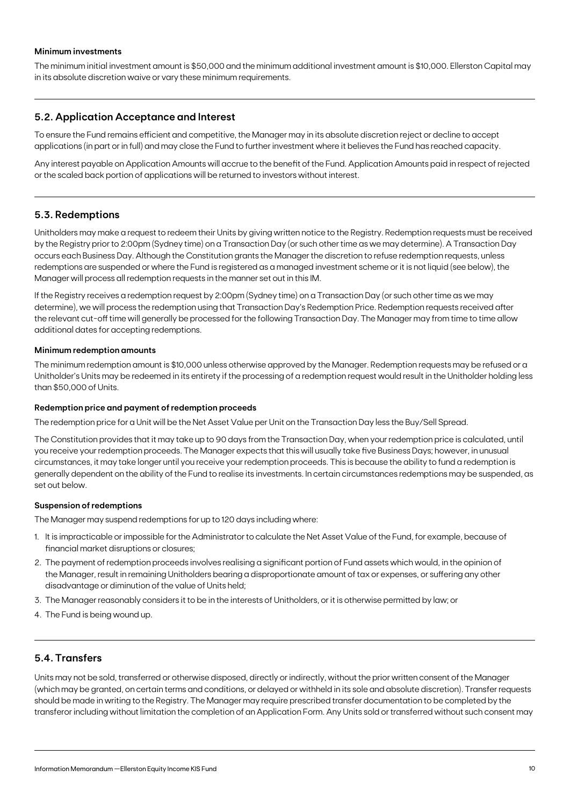#### **Minimum investments**

The minimum initial investment amount is \$50,000 and the minimum additional investment amount is \$10,000. Ellerston Capital may in its absolute discretion waive or vary these minimum requirements.

### **5.2. Application Acceptance and Interest**

To ensure the Fund remains efficient and competitive, the Manager may in its absolute discretion reject or decline to accept applications (in part or in full) and may close the Fund to further investment where it believes the Fund has reached capacity.

Any interest payable on Application Amounts will accrue to the benefit of the Fund. Application Amounts paid in respect of rejected or the scaled back portion of applications will be returned to investors without interest.

## **5.3. Redemptions**

Unitholders may make a request to redeem their Units by giving written notice to the Registry. Redemption requests must be received by the Registry prior to 2:00pm (Sydney time) on a Transaction Day (or such other time as we may determine). A Transaction Day occurs each Business Day. Although the Constitution grants the Manager the discretion to refuse redemption requests, unless redemptions are suspended or where the Fund is registered as a managed investment scheme or it is not liquid (see below), the Manager will process all redemption requests in the manner set out in this IM.

If the Registry receives a redemption request by 2:00pm (Sydney time) on a Transaction Day (or such other time as we may determine), we will process the redemption using that Transaction Day's Redemption Price. Redemption requests received after the relevant cut-off time will generally be processed for the following Transaction Day. The Manager may from time to time allow additional dates for accepting redemptions.

#### **Minimum redemption amounts**

The minimum redemption amount is \$10,000 unless otherwise approved by the Manager. Redemption requests may be refused or a Unitholder's Units may be redeemed in its entirety if the processing of a redemption request would result in the Unitholder holding less than \$50,000 of Units.

#### **Redemption price and payment of redemption proceeds**

The redemption price for a Unit will be the Net Asset Value per Unit on the Transaction Day less the Buy/Sell Spread.

The Constitution provides that it may take up to 90 days from the Transaction Day, when your redemption price is calculated, until you receive your redemption proceeds. The Manager expects that this will usually take five Business Days; however, in unusual circumstances, it may take longer until you receive your redemption proceeds. This is because the ability to fund a redemption is generally dependent on the ability of the Fund to realise its investments. In certain circumstances redemptions may be suspended, as set out below.

#### **Suspension of redemptions**

The Manager may suspend redemptions for up to 120 days including where:

- 1. It is impracticable or impossible for the Administrator to calculate the Net Asset Value of the Fund, for example, because of financial market disruptions or closures;
- 2. The payment of redemption proceeds involves realising a significant portion of Fund assets which would, in the opinion of the Manager, result in remaining Unitholders bearing a disproportionate amount of tax or expenses, or suffering any other disadvantage or diminution of the value of Units held;
- 3. The Manager reasonably considers it to be in the interests of Unitholders, or it is otherwise permitted by law; or
- 4. The Fund is being wound up.

### **5.4. Transfers**

Units may not be sold, transferred or otherwise disposed, directly or indirectly, without the prior written consent of the Manager (which may be granted, on certain terms and conditions, or delayed or withheld in its sole and absolute discretion). Transfer requests should be made in writing to the Registry. The Manager may require prescribed transfer documentation to be completed by the transferor including without limitation the completion of an Application Form. Any Units sold or transferred without such consent may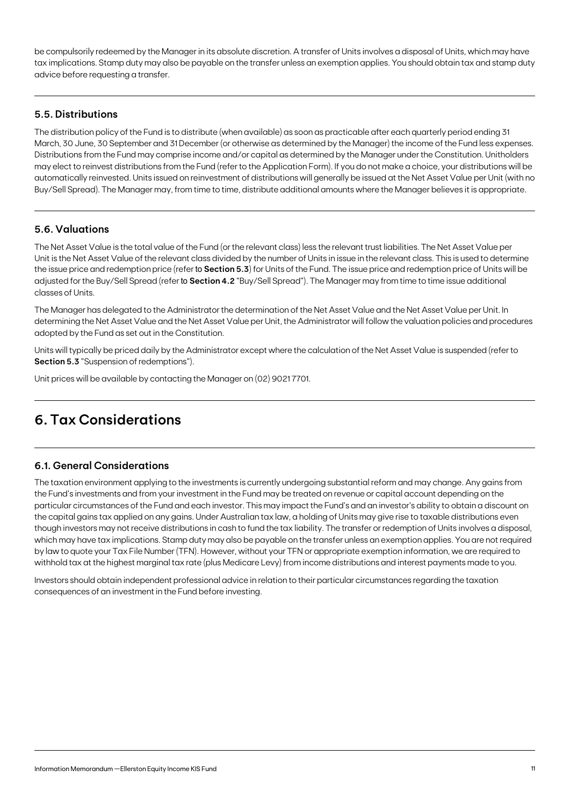be compulsorily redeemed by the Manager in its absolute discretion. A transfer of Units involves a disposal of Units, which may have tax implications. Stamp duty may also be payable on the transfer unless an exemption applies. You should obtain tax and stamp duty advice before requesting a transfer.

#### **5.5. Distributions**

The distribution policy of the Fund is to distribute (when available) as soon as practicable after each quarterly period ending 31 March, 30 June, 30 September and 31 December (or otherwise as determined by the Manager) the income of the Fund less expenses. Distributions from the Fund may comprise income and/or capital as determined by the Manager under the Constitution. Unitholders may elect to reinvest distributions from the Fund (refer to the Application Form). If you do not make a choice, your distributions will be automatically reinvested. Units issued on reinvestment of distributions will generally be issued at the Net Asset Value per Unit (with no Buy/Sell Spread). The Manager may, from time to time, distribute additional amounts where the Manager believes it is appropriate.

### **5.6. Valuations**

The Net Asset Value is the total value of the Fund (or the relevant class) less the relevant trust liabilities. The Net Asset Value per Unit is the Net Asset Value of the relevant class divided by the number of Units in issue in the relevant class. This is used to determine the issue price and redemption price (refer to **Section 5.3**) for Units of the Fund. The issue price and redemption price of Units will be adjusted for the Buy/Sell Spread (refer to **Section 4.2** "Buy/Sell Spread"). The Manager may from time to time issue additional classes of Units.

The Manager has delegated to the Administrator the determination of the Net Asset Value and the Net Asset Value per Unit. In determining the Net Asset Value and the Net Asset Value per Unit, the Administrator will follow the valuation policies and procedures adopted by the Fund as set out in the Constitution.

Units will typically be priced daily by the Administrator except where the calculation of the Net Asset Value is suspended (refer to **Section 5.3** "Suspension of redemptions").

Unit prices will be available by contacting the Manager on (02) 9021 7701.

## **6. Tax Considerations**

### **6.1. General Considerations**

The taxation environment applying to the investments is currently undergoing substantial reform and may change. Any gains from the Fund's investments and from your investment in the Fund may be treated on revenue or capital account depending on the particular circumstances of the Fund and each investor. This may impact the Fund's and an investor's ability to obtain a discount on the capital gains tax applied on any gains. Under Australian tax law, a holding of Units may give rise to taxable distributions even though investors may not receive distributions in cash to fund the tax liability. The transfer or redemption of Units involves a disposal, which may have tax implications. Stamp duty may also be payable on the transfer unless an exemption applies. You are not required by law to quote your Tax File Number (TFN). However, without your TFN or appropriate exemption information, we are required to withhold tax at the highest marginal tax rate (plus Medicare Levy) from income distributions and interest payments made to you.

Investors should obtain independent professional advice in relation to their particular circumstances regarding the taxation consequences of an investment in the Fund before investing.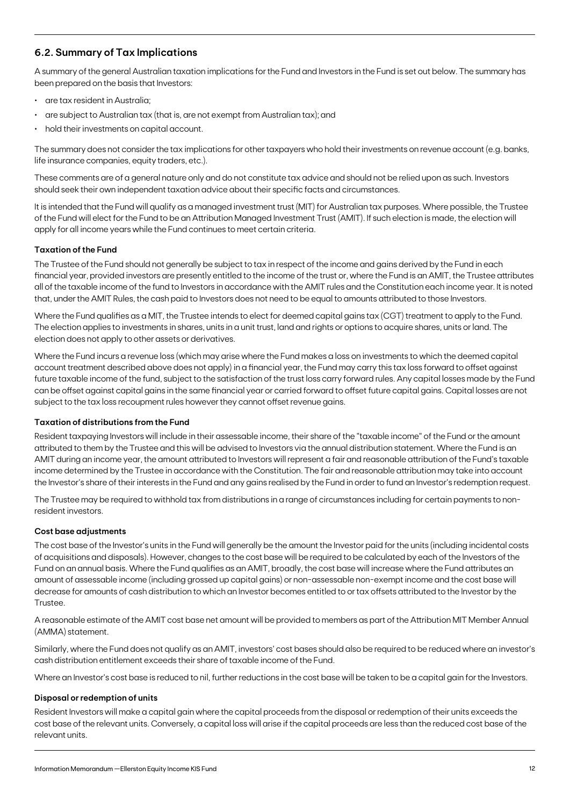## **6.2. Summary of Tax Implications**

A summary of the general Australian taxation implications for the Fund and Investors in the Fund is set out below. The summary has been prepared on the basis that Investors:

- are tax resident in Australia;
- are subject to Australian tax (that is, are not exempt from Australian tax); and
- hold their investments on capital account.

The summary does not consider the tax implications for other taxpayers who hold their investments on revenue account (e.g. banks, life insurance companies, equity traders, etc.).

These comments are of a general nature only and do not constitute tax advice and should not be relied upon as such. Investors should seek their own independent taxation advice about their specific facts and circumstances.

It is intended that the Fund will qualify as a managed investment trust (MIT) for Australian tax purposes. Where possible, the Trustee of the Fund will elect for the Fund to be an Attribution Managed Investment Trust (AMIT). If such election is made, the election will apply for all income years while the Fund continues to meet certain criteria.

#### **Taxation of the Fund**

The Trustee of the Fund should not generally be subject to tax in respect of the income and gains derived by the Fund in each financial year, provided investors are presently entitled to the income of the trust or, where the Fund is an AMIT, the Trustee attributes all of the taxable income of the fund to Investors in accordance with the AMIT rules and the Constitution each income year. It is noted that, under the AMIT Rules, the cash paid to Investors does not need to be equal to amounts attributed to those Investors.

Where the Fund qualifies as a MIT, the Trustee intends to elect for deemed capital gains tax (CGT) treatment to apply to the Fund. The election applies to investments in shares, units in a unit trust, land and rights or options to acquire shares, units or land. The election does not apply to other assets or derivatives.

Where the Fund incurs a revenue loss (which may arise where the Fund makes a loss on investments to which the deemed capital account treatment described above does not apply) in a financial year, the Fund may carry this tax loss forward to offset against future taxable income of the fund, subject to the satisfaction of the trust loss carry forward rules. Any capital losses made by the Fund can be offset against capital gains in the same financial year or carried forward to offset future capital gains. Capital losses are not subject to the tax loss recoupment rules however they cannot offset revenue gains.

#### **Taxation of distributions from the Fund**

Resident taxpaying Investors will include in their assessable income, their share of the "taxable income" of the Fund or the amount attributed to them by the Trustee and this will be advised to Investors via the annual distribution statement. Where the Fund is an AMIT during an income year, the amount attributed to Investors will represent a fair and reasonable attribution of the Fund's taxable income determined by the Trustee in accordance with the Constitution. The fair and reasonable attribution may take into account the Investor's share of their interests in the Fund and any gains realised by the Fund in order to fund an Investor's redemption request.

The Trustee may be required to withhold tax from distributions in a range of circumstances including for certain payments to nonresident investors.

#### **Cost base adjustments**

The cost base of the Investor's units in the Fund will generally be the amount the Investor paid for the units (including incidental costs of acquisitions and disposals). However, changes to the cost base will be required to be calculated by each of the Investors of the Fund on an annual basis. Where the Fund qualifies as an AMIT, broadly, the cost base will increase where the Fund attributes an amount of assessable income (including grossed up capital gains) or non-assessable non-exempt income and the cost base will decrease for amounts of cash distribution to which an Investor becomes entitled to or tax offsets attributed to the Investor by the Trustee.

A reasonable estimate of the AMIT cost base net amount will be provided to members as part of the Attribution MIT Member Annual (AMMA) statement.

Similarly, where the Fund does not qualify as an AMIT, investors' cost bases should also be required to be reduced where an investor's cash distribution entitlement exceeds their share of taxable income of the Fund.

Where an Investor's cost base is reduced to nil, further reductions in the cost base will be taken to be a capital gain for the Investors.

#### **Disposal or redemption of units**

Resident Investors will make a capital gain where the capital proceeds from the disposal or redemption of their units exceeds the cost base of the relevant units. Conversely, a capital loss will arise if the capital proceeds are less than the reduced cost base of the relevant units.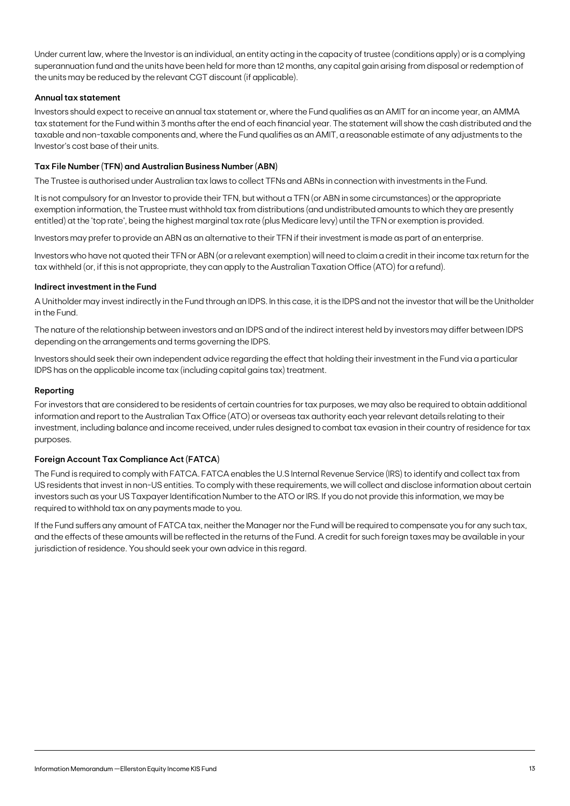Under current law, where the Investor is an individual, an entity acting in the capacity of trustee (conditions apply) or is a complying superannuation fund and the units have been held for more than 12 months, any capital gain arising from disposal or redemption of the units may be reduced by the relevant CGT discount (if applicable).

#### **Annual tax statement**

Investors should expect to receive an annual tax statement or, where the Fund qualifies as an AMIT for an income year, an AMMA tax statement for the Fund within 3 months after the end of each financial year. The statement will show the cash distributed and the taxable and non-taxable components and, where the Fund qualifies as an AMIT, a reasonable estimate of any adjustments to the Investor's cost base of their units.

#### **Tax File Number (TFN) and Australian Business Number (ABN)**

The Trustee is authorised under Australian tax laws to collect TFNs and ABNs in connection with investments in the Fund.

It is not compulsory for an Investor to provide their TFN, but without a TFN (or ABN in some circumstances) or the appropriate exemption information, the Trustee must withhold tax from distributions (and undistributed amounts to which they are presently entitled) at the 'top rate', being the highest marginal tax rate (plus Medicare levy) until the TFN or exemption is provided.

Investors may prefer to provide an ABN as an alternative to their TFN if their investment is made as part of an enterprise.

Investors who have not quoted their TFN or ABN (or a relevant exemption) will need to claim a credit in their income tax return for the tax withheld (or, if this is not appropriate, they can apply to the Australian Taxation Office (ATO) for a refund).

#### **Indirect investment in the Fund**

A Unitholder may invest indirectly in the Fund through an IDPS. In this case, it is the IDPS and not the investor that will be the Unitholder in the Fund.

The nature of the relationship between investors and an IDPS and of the indirect interest held by investors may differ between IDPS depending on the arrangements and terms governing the IDPS.

Investors should seek their own independent advice regarding the effect that holding their investment in the Fund via a particular IDPS has on the applicable income tax (including capital gains tax) treatment.

#### **Reporting**

For investors that are considered to be residents of certain countries for tax purposes, we may also be required to obtain additional information and report to the Australian Tax Office (ATO) or overseas tax authority each year relevant details relating to their investment, including balance and income received, under rules designed to combat tax evasion in their country of residence for tax purposes.

#### **Foreign Account Tax Compliance Act (FATCA)**

The Fund is required to comply with FATCA. FATCA enables the U.S Internal Revenue Service (IRS) to identify and collect tax from US residents that invest in non-US entities. To comply with these requirements, we will collect and disclose information about certain investors such as your US Taxpayer Identification Number to the ATO or IRS. If you do not provide this information, we may be required to withhold tax on any payments made to you.

If the Fund suffers any amount of FATCA tax, neither the Manager nor the Fund will be required to compensate you for any such tax, and the effects of these amounts will be reflected in the returns of the Fund. A credit for such foreign taxes may be available in your jurisdiction of residence. You should seek your own advice in this regard.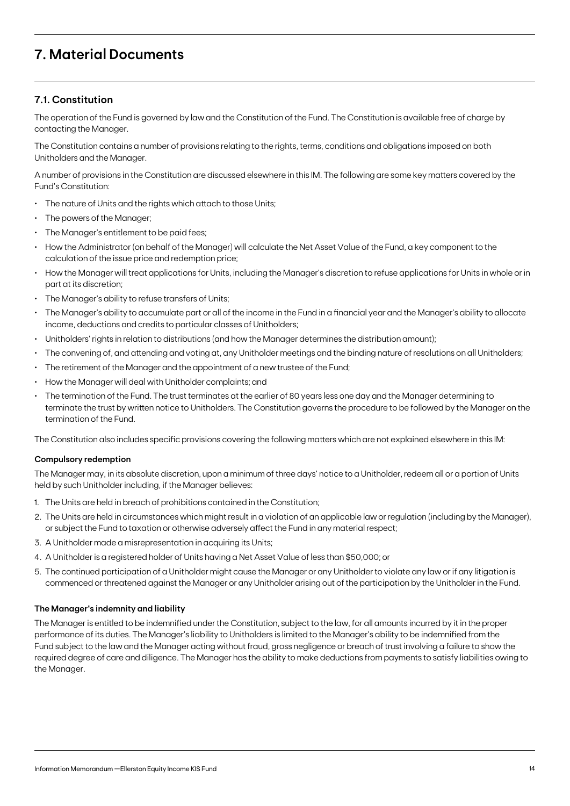## **7. Material Documents**

## **7.1. Constitution**

The operation of the Fund is governed by law and the Constitution of the Fund. The Constitution is available free of charge by contacting the Manager.

The Constitution contains a number of provisions relating to the rights, terms, conditions and obligations imposed on both Unitholders and the Manager.

A number of provisions in the Constitution are discussed elsewhere in this IM. The following are some key matters covered by the Fund's Constitution:

- The nature of Units and the rights which attach to those Units;
- The powers of the Manager;
- The Manager's entitlement to be paid fees;
- How the Administrator (on behalf of the Manager) will calculate the Net Asset Value of the Fund, a key component to the calculation of the issue price and redemption price;
- How the Manager will treat applications for Units, including the Manager's discretion to refuse applications for Units in whole or in part at its discretion;
- The Manager's ability to refuse transfers of Units;
- The Manager's ability to accumulate part or all of the income in the Fund in a financial year and the Manager's ability to allocate income, deductions and credits to particular classes of Unitholders;
- Unitholders' rights in relation to distributions (and how the Manager determines the distribution amount);
- The convening of, and attending and voting at, any Unitholder meetings and the binding nature of resolutions on all Unitholders;
- The retirement of the Manager and the appointment of a new trustee of the Fund;
- How the Manager will deal with Unitholder complaints; and
- The termination of the Fund. The trust terminates at the earlier of 80 years less one day and the Manager determining to terminate the trust by written notice to Unitholders. The Constitution governs the procedure to be followed by the Manager on the termination of the Fund.

The Constitution also includes specific provisions covering the following matters which are not explained elsewhere in this IM:

#### **Compulsory redemption**

The Manager may, in its absolute discretion, upon a minimum of three days' notice to a Unitholder, redeem all or a portion of Units held by such Unitholder including, if the Manager believes:

- 1. The Units are held in breach of prohibitions contained in the Constitution;
- 2. The Units are held in circumstances which might result in a violation of an applicable law or regulation (including by the Manager), or subject the Fund to taxation or otherwise adversely affect the Fund in any material respect;
- 3. A Unitholder made a misrepresentation in acquiring its Units;
- 4. A Unitholder is a registered holder of Units having a Net Asset Value of less than \$50,000; or
- 5. The continued participation of a Unitholder might cause the Manager or any Unitholder to violate any law or if any litigation is commenced or threatened against the Manager or any Unitholder arising out of the participation by the Unitholder in the Fund.

#### **The Manager's indemnity and liability**

The Manager is entitled to be indemnified under the Constitution, subject to the law, for all amounts incurred by it in the proper performance of its duties. The Manager's liability to Unitholders is limited to the Manager's ability to be indemnified from the Fund subject to the law and the Manager acting without fraud, gross negligence or breach of trust involving a failure to show the required degree of care and diligence. The Manager has the ability to make deductions from payments to satisfy liabilities owing to the Manager.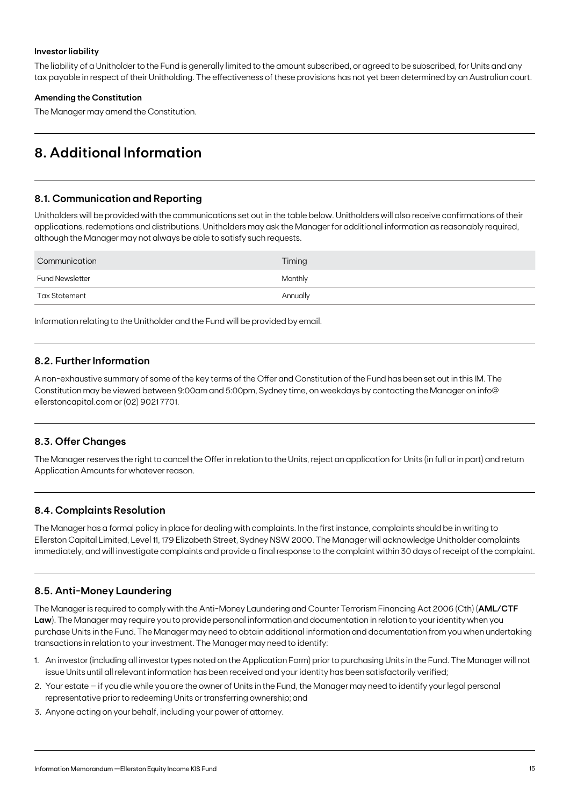#### **Investor liability**

The liability of a Unitholder to the Fund is generally limited to the amount subscribed, or agreed to be subscribed, for Units and any tax payable in respect of their Unitholding. The effectiveness of these provisions has not yet been determined by an Australian court.

#### **Amending the Constitution**

The Manager may amend the Constitution.

## **8. Additional Information**

## **8.1. Communication and Reporting**

Unitholders will be provided with the communications set out in the table below. Unitholders will also receive confirmations of their applications, redemptions and distributions. Unitholders may ask the Manager for additional information as reasonably required, although the Manager may not always be able to satisfy such requests.

| Communication          | Timing   |
|------------------------|----------|
| <b>Fund Newsletter</b> | Monthly  |
| Tax Statement          | Annually |

Information relating to the Unitholder and the Fund will be provided by email.

## **8.2. Further Information**

A non-exhaustive summary of some of the key terms of the Offer and Constitution of the Fund has been set out in this IM. The Constitution may be viewed between 9:00am and 5:00pm, Sydney time, on weekdays by contacting the Manager on info@ ellerstoncapital.com or (02) 9021 7701.

### **8.3. Offer Changes**

The Manager reserves the right to cancel the Offer in relation to the Units, reject an application for Units (in full or in part) and return Application Amounts for whatever reason.

## **8.4. Complaints Resolution**

The Manager has a formal policy in place for dealing with complaints. In the first instance, complaints should be in writing to Ellerston Capital Limited, Level 11, 179 Elizabeth Street, Sydney NSW 2000. The Manager will acknowledge Unitholder complaints immediately, and will investigate complaints and provide a final response to the complaint within 30 days of receipt of the complaint.

## **8.5. Anti-Money Laundering**

The Manager is required to comply with the Anti-Money Laundering and Counter Terrorism Financing Act 2006 (Cth) (**AML/CTF Law**). The Manager may require you to provide personal information and documentation in relation to your identity when you purchase Units in the Fund. The Manager may need to obtain additional information and documentation from you when undertaking transactions in relation to your investment. The Manager may need to identify:

- 1. An investor (including all investor types noted on the Application Form) prior to purchasing Units in the Fund. The Manager will not issue Units until all relevant information has been received and your identity has been satisfactorily verified;
- 2. Your estate if you die while you are the owner of Units in the Fund, the Manager may need to identify your legal personal representative prior to redeeming Units or transferring ownership; and
- 3. Anyone acting on your behalf, including your power of attorney.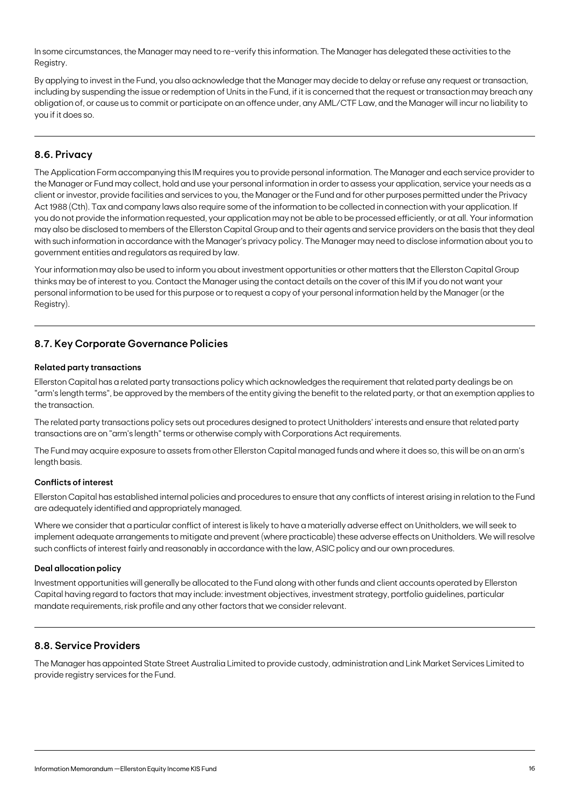In some circumstances, the Manager may need to re-verify this information. The Manager has delegated these activities to the Registry.

By applying to invest in the Fund, you also acknowledge that the Manager may decide to delay or refuse any request or transaction, including by suspending the issue or redemption of Units in the Fund, if it is concerned that the request or transaction may breach any obligation of, or cause us to commit or participate on an offence under, any AML/CTF Law, and the Manager will incur no liability to you if it does so.

## **8.6. Privacy**

The Application Form accompanying this IM requires you to provide personal information. The Manager and each service provider to the Manager or Fund may collect, hold and use your personal information in order to assess your application, service your needs as a client or investor, provide facilities and services to you, the Manager or the Fund and for other purposes permitted under the Privacy Act 1988 (Cth). Tax and company laws also require some of the information to be collected in connection with your application. If you do not provide the information requested, your application may not be able to be processed efficiently, or at all. Your information may also be disclosed to members of the Ellerston Capital Group and to their agents and service providers on the basis that they deal with such information in accordance with the Manager's privacy policy. The Manager may need to disclose information about you to government entities and regulators as required by law.

Your information may also be used to inform you about investment opportunities or other matters that the Ellerston Capital Group thinks may be of interest to you. Contact the Manager using the contact details on the cover of this IM if you do not want your personal information to be used for this purpose or to request a copy of your personal information held by the Manager (or the Registry).

## **8.7. Key Corporate Governance Policies**

#### **Related party transactions**

Ellerston Capital has a related party transactions policy which acknowledges the requirement that related party dealings be on "arm's length terms", be approved by the members of the entity giving the benefit to the related party, or that an exemption applies to the transaction.

The related party transactions policy sets out procedures designed to protect Unitholders' interests and ensure that related party transactions are on "arm's length" terms or otherwise comply with Corporations Act requirements.

The Fund may acquire exposure to assets from other Ellerston Capital managed funds and where it does so, this will be on an arm's length basis.

#### **Conflicts of interest**

Ellerston Capital has established internal policies and procedures to ensure that any conflicts of interest arising in relation to the Fund are adequately identified and appropriately managed.

Where we consider that a particular conflict of interest is likely to have a materially adverse effect on Unitholders, we will seek to implement adequate arrangements to mitigate and prevent (where practicable) these adverse effects on Unitholders. We will resolve such conflicts of interest fairly and reasonably in accordance with the law, ASIC policy and our own procedures.

#### **Deal allocation policy**

Investment opportunities will generally be allocated to the Fund along with other funds and client accounts operated by Ellerston Capital having regard to factors that may include: investment objectives, investment strategy, portfolio guidelines, particular mandate requirements, risk profile and any other factors that we consider relevant.

### **8.8. Service Providers**

The Manager has appointed State Street Australia Limited to provide custody, administration and Link Market Services Limited to provide registry services for the Fund.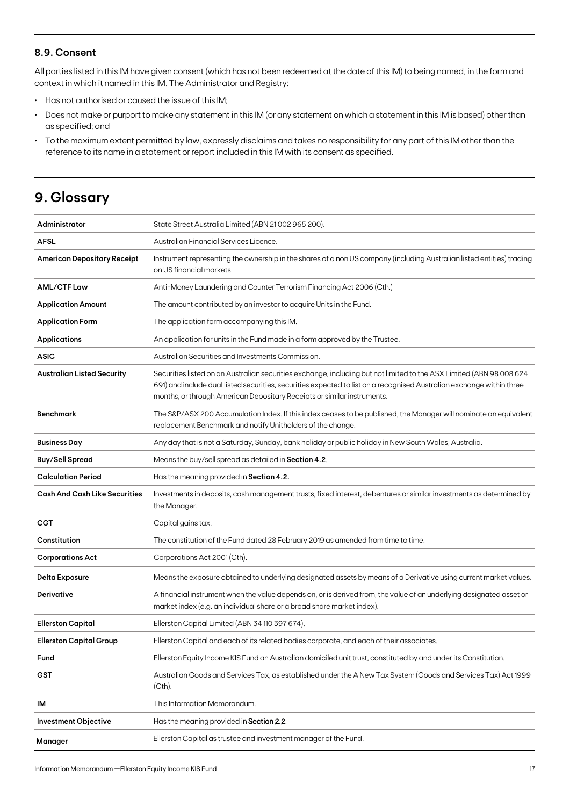### **8.9. Consent**

All parties listed in this IM have given consent (which has not been redeemed at the date of this IM) to being named, in the form and context in which it named in this IM. The Administrator and Registry:

- Has not authorised or caused the issue of this IM;
- Does not make or purport to make any statement in this IM (or any statement on which a statement in this IM is based) other than as specified; and
- To the maximum extent permitted by law, expressly disclaims and takes no responsibility for any part of this IM other than the reference to its name in a statement or report included in this IM with its consent as specified.

## **9. Glossary**

| Administrator                        | State Street Australia Limited (ABN 21002 965 200).                                                                                                                                                                                                                                                                      |
|--------------------------------------|--------------------------------------------------------------------------------------------------------------------------------------------------------------------------------------------------------------------------------------------------------------------------------------------------------------------------|
| <b>AFSL</b>                          | Australian Financial Services Licence.                                                                                                                                                                                                                                                                                   |
| <b>American Depositary Receipt</b>   | Instrument representing the ownership in the shares of a non US company (including Australian listed entities) trading<br>on US financial markets.                                                                                                                                                                       |
| <b>AML/CTF Law</b>                   | Anti-Money Laundering and Counter Terrorism Financing Act 2006 (Cth.)                                                                                                                                                                                                                                                    |
| <b>Application Amount</b>            | The amount contributed by an investor to acquire Units in the Fund.                                                                                                                                                                                                                                                      |
| <b>Application Form</b>              | The application form accompanying this IM.                                                                                                                                                                                                                                                                               |
| <b>Applications</b>                  | An application for units in the Fund made in a form approved by the Trustee.                                                                                                                                                                                                                                             |
| <b>ASIC</b>                          | Australian Securities and Investments Commission.                                                                                                                                                                                                                                                                        |
| <b>Australian Listed Security</b>    | Securities listed on an Australian securities exchange, including but not limited to the ASX Limited (ABN 98 008 624<br>691) and include dual listed securities, securities expected to list on a recognised Australian exchange within three<br>months, or through American Depositary Receipts or similar instruments. |
| <b>Benchmark</b>                     | The S&P/ASX 200 Accumulation Index. If this index ceases to be published, the Manager will nominate an equivalent<br>replacement Benchmark and notify Unitholders of the change.                                                                                                                                         |
| <b>Business Day</b>                  | Any day that is not a Saturday, Sunday, bank holiday or public holiday in New South Wales, Australia.                                                                                                                                                                                                                    |
| <b>Buy/Sell Spread</b>               | Means the buy/sell spread as detailed in Section 4.2.                                                                                                                                                                                                                                                                    |
| <b>Calculation Period</b>            | Has the meaning provided in Section 4.2.                                                                                                                                                                                                                                                                                 |
| <b>Cash And Cash Like Securities</b> | Investments in deposits, cash management trusts, fixed interest, debentures or similar investments as determined by<br>the Manager.                                                                                                                                                                                      |
| <b>CGT</b>                           | Capital gains tax.                                                                                                                                                                                                                                                                                                       |
| Constitution                         | The constitution of the Fund dated 28 February 2019 as amended from time to time.                                                                                                                                                                                                                                        |
| <b>Corporations Act</b>              | Corporations Act 2001 (Cth).                                                                                                                                                                                                                                                                                             |
| <b>Delta Exposure</b>                | Means the exposure obtained to underlying designated assets by means of a Derivative using current market values.                                                                                                                                                                                                        |
| Derivative                           | A financial instrument when the value depends on, or is derived from, the value of an underlying designated asset or<br>market index (e.g. an individual share or a broad share market index).                                                                                                                           |
| <b>Ellerston Capital</b>             | Ellerston Capital Limited (ABN 34 110 397 674).                                                                                                                                                                                                                                                                          |
| <b>Ellerston Capital Group</b>       | Ellerston Capital and each of its related bodies corporate, and each of their associates.                                                                                                                                                                                                                                |
| Fund                                 | Ellerston Equity Income KIS Fund an Australian domiciled unit trust, constituted by and under its Constitution.                                                                                                                                                                                                          |
| <b>GST</b>                           | Australian Goods and Services Tax, as established under the A New Tax System (Goods and Services Tax) Act 1999<br>$(Cth)$ .                                                                                                                                                                                              |
| ΙM                                   | This Information Memorandum.                                                                                                                                                                                                                                                                                             |
| <b>Investment Objective</b>          | Has the meaning provided in Section 2.2.                                                                                                                                                                                                                                                                                 |
| <b>Manager</b>                       | Ellerston Capital as trustee and investment manager of the Fund.                                                                                                                                                                                                                                                         |